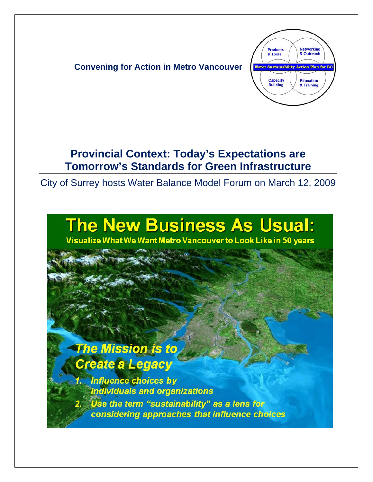

## **Provincial Context: Today's Expectations are Tomorrow's Standards for Green Infrastructure**

City of Surrey hosts Water Balance Model Forum on March 12, 2009

# **The New Business As Usual:**

Visualize What We Want Metro Vancouver to Look Like in 50 years

## **The Mission is to** Create a Legacy

**Influence choices by** individuals and organizations Use the term "sustainability" as a lens for considering approaches that influence choices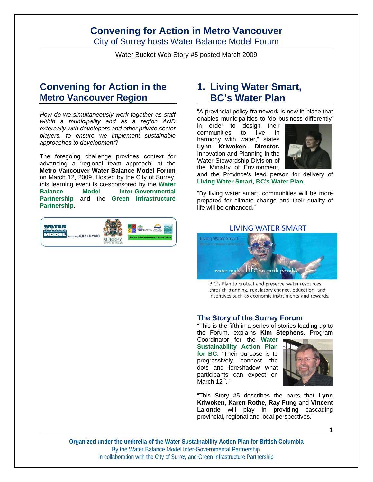City of Surrey hosts Water Balance Model Forum

Water Bucket Web Story #5 posted March 2009

## **Convening for Action in the Metro Vancouver Region**

*How do we simultaneously work together as staff within a municipality and as a region AND externally with developers and other private sector players, to ensure we implement sustainable approaches to development*?

The foregoing challenge provides context for advancing a 'regional team approach' at the **Metro Vancouver Water Balance Model Forum** on March 12, 2009. Hosted by the City of Surrey, this learning event is co-sponsored by the **Water Balance Model Inter-Governmental Partnership** and the **Green Infrastructure Partnership**.



## **1. Living Water Smart, BC's Water Plan**

"A provincial policy framework is now in place that enables municipalities to 'do business differently'

in order to design their communities to live in harmony with water," states **Lynn Kriwoken**, **Director,** Innovation and Planning in the Water Stewardship Division of the Ministry of Environment,



and the Province's lead person for delivery of **Living Water Smart, BC's Water Plan**.

"By living water smart, communities will be more prepared for climate change and their quality of life will be enhanced."

#### **LIVING WATER SMART**



B.C.'s Plan to protect and preserve water resources through planning, regulatory change, education, and incentives such as economic instruments and rewards.

#### **The Story of the Surrey Forum**

"This is the fifth in a series of stories leading up to the Forum, explains **Kim Stephens**, Program

Coordinator for the **Water Sustainability Action Plan for BC**. "Their purpose is to progressively connect the dots and foreshadow what participants can expect on March 12<sup>th</sup>."



"This Story #5 describes the parts that **Lynn Kriwoken, Karen Rothe, Ray Fung** and **Vincent Lalonde** will play in providing cascading provincial, regional and local perspectives."

1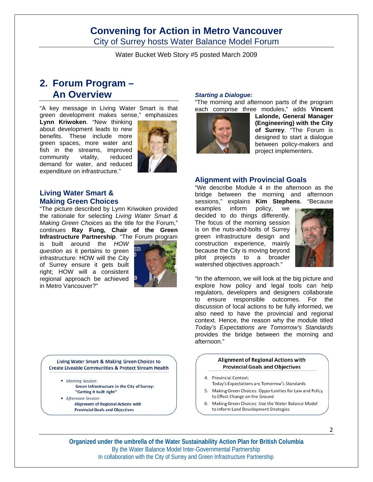City of Surrey hosts Water Balance Model Forum

Water Bucket Web Story #5 posted March 2009

## **2. Forum Program – An Overview**

"A key message in Living Water Smart is that green development makes sense," emphasizes

**Lynn Kriwoken**. "New thinking about development leads to new benefits. These include more green spaces, more water and fish in the streams, improved community vitality, reduced demand for water, and reduced expenditure on infrastructure."



## **Living Water Smart & Making Green Choices**

"The picture described by Lynn Kriwoken provided the rationale for selecting *Living Water Smart & Making Green Choices* as the title for the Forum," continues **Ray Fung, Chair of the Green** 

**Infrastructure Partnership**. "The Forum program is built around the *HOW question* as it pertains to green infrastructure: HOW will the City of Surrey ensure it gets built right; HOW will a consistent regional approach be achieved in Metro Vancouver?"



Living Water Smart & Making Green Choices to **Create Liveable Communities & Protect Stream Health** 

- Morning Session: Green Infrastructure in the City of Surrey: "Getting it built right"
- Afternoon Session: **Alignment of Regional Actions with Provincial Goals and Objectives**

#### *Starting a Dialogue:*

"The morning and afternoon parts of the program each comprise three modules," adds **Vincent** 



**Lalonde, General Manager (Engineering) with the City of Surrey**. "The Forum is designed to start a dialogue between policy-makers and project implementers.

#### **Alignment with Provincial Goals**

"We describe Module 4 in the afternoon as the bridge between the morning and afternoon sessions," explains **Kim Stephens**. "Because

examples inform policy, we decided to do things differently. The focus of the morning session is on the nuts-and-bolts of Surrey green infrastructure design and construction experience, mainly because the City is moving beyond pilot projects to a broader watershed objectives approach."



"In the afternoon, we will look at the big picture and explore how policy and legal tools can help regulators, developers and designers collaborate to ensure responsible outcomes. For the discussion of local actions to be fully informed, we also need to have the provincial and regional context. Hence, the reason why the module titled *Today's Expectations are Tomorrow's Standards* provides the bridge between the morning and afternoon."

#### **Alignment of Regional Actions with Provincial Goals and Objectives**

- 4. Provincial Context:
- Today's Expectations are Tomorrow's Standards 5. Making Green Choices: Opportunities for Law and Policy
- to Effect Change on the Ground 6. Making Green Choices: Use the Water Balance Model to Inform Land Development Strategies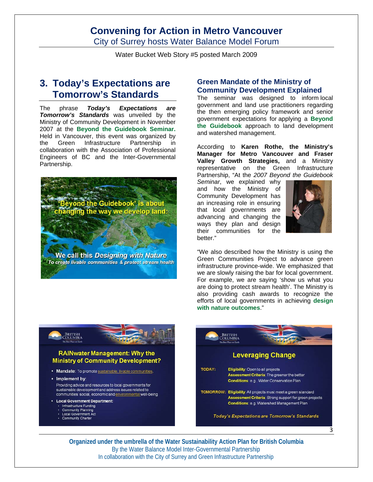City of Surrey hosts Water Balance Model Forum

Water Bucket Web Story #5 posted March 2009

## **3. Today's Expectations are Tomorrow's Standards**

The phrase *Today's Expectations are Tomorrow's Standards* was unveiled by the Ministry of Community Development in November 2007 at the **Beyond the Guidebook Seminar.** Held in Vancouver, this event was organized by the Green Infrastructure Partnership in collaboration with the Association of Professional Engineers of BC and the Inter-Governmental Partnership.



We call this Designing with Nature To create livable communities & protect stream health

#### **Green Mandate of the Ministry of Community Development Explained**

The seminar was designed to inform local government and land use practitioners regarding the then emerging policy framework and senior government expectations for applying a **Beyond the Guidebook** approach to land development and watershed management.

According to **Karen Rothe, the Ministry's Manager for Metro Vancouver and Fraser Valley Growth Strategies,** and a Ministry representative on the Green Infrastructure Partnership, "At the *2007 Beyond the Guidebook* 

*Seminar*, we explained why and how the Ministry of Community Development has an increasing role in ensuring that local governments are advancing and changing the ways they plan and design their communities for the better."



"We also described how the Ministry is using the Green Communities Project to advance green infrastructure province-wide. We emphasized that we are slowly raising the bar for local government. For example, we are saying 'show us what you are doing to protect stream health'. The Ministry is also providing cash awards to recognize the efforts of local governments in achieving **design with nature outcomes**."



#### **RAINwater Management: Why the Ministry of Community Development?**

• Mandate: To promote sustainable, livable communities.

• Implement by: Providing advice and resources to local governments for sustainable development and address issues related to communities' social, economic and environmental well-being

- Local Government Department:
- · Infrastructure Funding
- **Community Planning Local Government Act**
- Community Charter

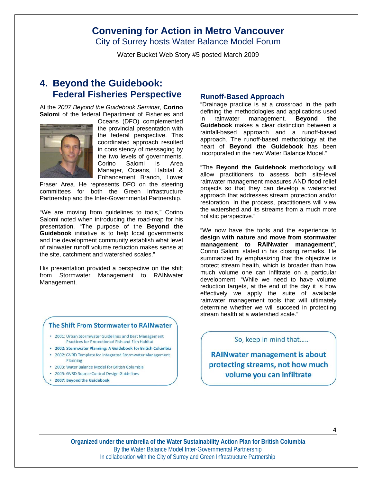City of Surrey hosts Water Balance Model Forum

Water Bucket Web Story #5 posted March 2009

## **4. Beyond the Guidebook: Federal Fisheries Perspective**

At the *2007 Beyond the Guidebook Seminar,* **Corino Salomi** of the federal Department of Fisheries and



Oceans (DFO) complemented the provincial presentation with the federal perspective. This coordinated approach resulted in consistency of messaging by the two levels of governments. Corino Salomi is Area Manager, Oceans, Habitat & Enhancement Branch, Lower

Fraser Area. He represents DFO on the steering committees for both the Green Infrastructure Partnership and the Inter-Governmental Partnership.

"We are moving from guidelines to tools," Corino Salomi noted when introducing the road-map for his presentation. "The purpose of the **Beyond the Guidebook** initiative is to help local governments and the development community establish what level of rainwater runoff volume reduction makes sense at the site, catchment and watershed scales."

His presentation provided a perspective on the shift from Stormwater Management to RAINwater Management.

#### The Shift From Stormwater to RAINwater

- . 2001: Urban Stormwater Guidelines and Best Management Practices for Protection of Fish and Fish Habitat
- · 2002: Stormwater Planning: A Guidebook for British Columbia
- 2002: GVRD Template for Integrated Stormwater Management Planning
- . 2003: Water Balance Model for British Columbia
- . 2005: GVRD Source Control Design Guidelines
- 2007: Beyond the Guidebook

#### **Runoff-Based Approach**

"Drainage practice is at a crossroad in the path defining the methodologies and applications used in rainwater management. **Beyond the Guidebook** makes a clear distinction between a rainfall-based approach and a runoff-based approach. The runoff-based methodology at the heart of **Beyond the Guidebook** has been incorporated in the new Water Balance Model."

"The **Beyond the Guidebook** methodology will allow practitioners to assess both site-level rainwater management measures AND flood relief projects so that they can develop a watershed approach that addresses stream protection and/or restoration. In the process, practitioners will view the watershed and its streams from a much more holistic perspective."

"We now have the tools and the experience to **design with nature** and **move from stormwater management to RAINwater management**", Corino Salomi stated in his closing remarks. He summarized by emphasizing that the objective is protect stream health, which is broader than how much volume one can infiltrate on a particular development. "While we need to have volume reduction targets, at the end of the day it is how effectively we apply the suite of available rainwater management tools that will ultimately determine whether we will succeed in protecting stream health at a watershed scale."

#### So, keep in mind that.....

**RAINwater management is about** protecting streams, not how much volume you can infiltrate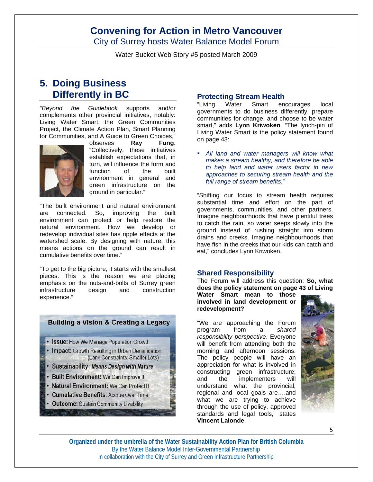City of Surrey hosts Water Balance Model Forum

Water Bucket Web Story #5 posted March 2009

## **5. Doing Business Differently in BC**

*"Beyond the Guidebook* supports and/or complements other provincial initiatives, notably: Living Water Smart, the Green Communities Project, the Climate Action Plan, Smart Planning for Communities, and A Guide to Green Choices,"



observes **Ray Fung**. "Collectively, these initiatives establish expectations that, in turn, will influence the form and function of the built environment in general and green infrastructure on the ground in particular."

"The built environment and natural environment are connected. So, improving the built environment can protect or help restore the natural environment. How we develop or redevelop individual sites has ripple effects at the watershed scale. By designing with nature, this means actions on the ground can result in cumulative benefits over time."

"To get to the big picture, it starts with the smallest pieces. This is the reason we are placing emphasis on the nuts-and-bolts of Surrey green infrastructure design and construction experience."

### **Building a Vision & Creating a Legacy**

- Issue: How We Manage Population Growth
- Impact: Growth Resulting in Urban Densification (Land Constraints; Smaller Lots)
- · Sustainability: Means Design with Nature
- Built Environment: We Can Improve It
- **Natural Environment: We Can Protect It**
- Cumulative Benefits: Accrue Over Time
- **Outcome: Sustain Community Livability**

#### **Protecting Stream Health**

"Living Water Smart encourages local governments to do business differently, prepare communities for change, and choose to be water smart," adds **Lynn Kriwoken**. "The lynch-pin of Living Water Smart is the policy statement found on page 43:

 *All land and water managers will know what makes a stream healthy, and therefore be able to help land and water users factor in new approaches to securing stream health and the full range of stream benefits.*"

"Shifting our focus to stream health requires substantial time and effort on the part of governments, communities, and other partners. Imagine neighbourhoods that have plentiful trees to catch the rain, so water seeps slowly into the ground instead of rushing straight into storm drains and creeks. Imagine neighbourhoods that have fish in the creeks that our kids can catch and eat," concludes Lynn Kriwoken.

#### **Shared Responsibility**

The Forum will address this question: **So, what does the policy statement on page 43 of Living** 

**Water Smart mean to those involved in land development or redevelopment?** 

"We are approaching the Forum program from a *shared responsibility perspective*. Everyone will benefit from attending both the morning and afternoon sessions. The policy people will have an appreciation for what is involved in constructing green infrastructure; and the implementers will understand what the provincial, regional and local goals are….and what we are trying to achieve through the use of policy, approved standards and legal tools," states **Vincent Lalonde**.

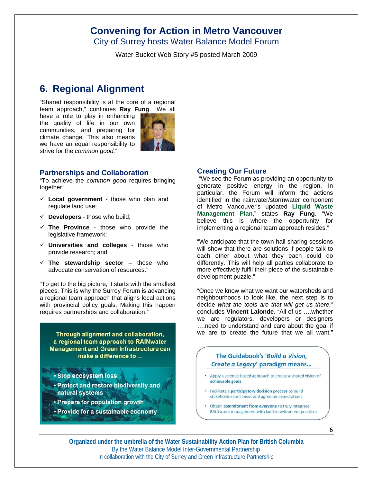City of Surrey hosts Water Balance Model Forum

Water Bucket Web Story #5 posted March 2009

## **6. Regional Alignment**

"Shared responsibility is at the core of a regional team approach," continues **Ray Fung**. "We all

have a role to play in enhancing the quality of life in our own communities, and preparing for climate change. This also means we have an equal responsibility to strive for the *common good.*"



#### **Partnerships and Collaboration**

"To achieve the *common good* requires bringing together:

- **Local government** those who plan and regulate land use;
- $\checkmark$  **Developers** those who build;
- **The Province** those who provide the legislative framework;
- **Universities and colleges** those who provide research; and
- $\checkmark$  The stewardship sector those who advocate conservation of resources."

"To get to the big picture, it starts with the smallest pieces. This is why the Surrey Forum is advancing a regional team approach that aligns local actions with provincial policy goals. Making this happen requires partnerships and collaboration."

Through alignment and collaboration, a regional team approach to RAINwater **Management and Green Infrastructure can** make a difference to...

- **· Stop ecosystem loss**
- · Protect and restore biodiversity and natural systems
- Prepare for population growth
- · Provide for a sustainable economy

#### **Creating Our Future**

 "We see the Forum as providing an opportunity to generate positive energy in the region. In particular, the Forum will inform the actions identified in the rainwater/stormwater component of Metro Vancouver's updated **Liquid Waste Management Plan**," states **Ray Fung**. "We believe this is where the opportunity for implementing a regional team approach resides."

"We anticipate that the town hall sharing sessions will show that there are solutions if people talk to each other about what they each could do differently. This will help all parties collaborate to more effectively fulfil their piece of the sustainable development puzzle."

"Once we know what we want our watersheds and neighbourhoods to look like, the next step is to decide *what the tools are that will get us there,"* concludes **Vincent Lalonde**. "All of us ….whether we are regulators, developers or designers ….need to understand and care about the goal if we are to create the future that we all want."

### The Guidebook's 'Build a Vision, Create a Legacy' paradigm means...

- Apply a science-based approach to create a shared vision of achievable goals
- · Facilitate a participatory decision process to build stakeholder consensus and agree on expectations
- Obtain commitment from everyone to truly integrate RAINwater management with land development practices